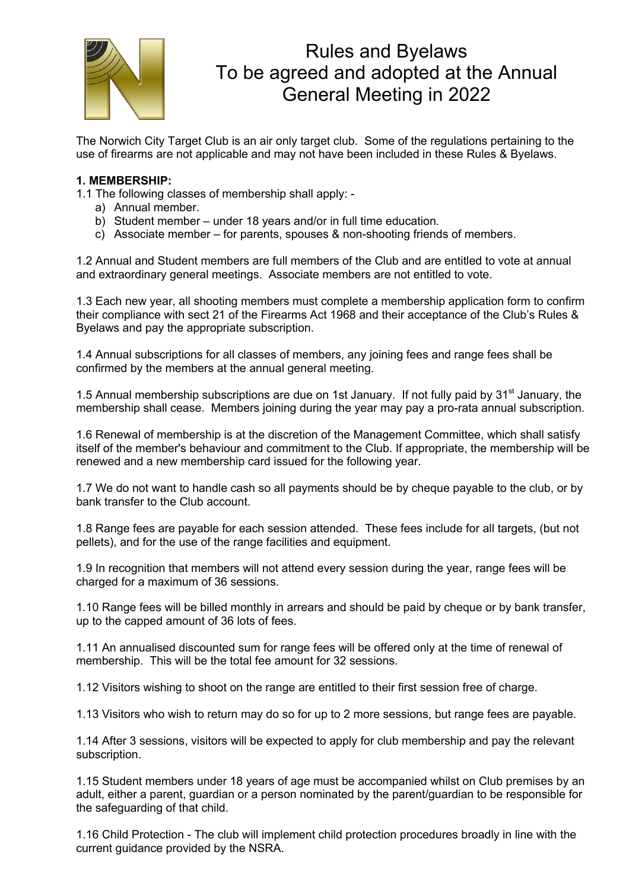

# Rules and Byelaws To be agreed and adopted at the Annual General Meeting in 2022

The Norwich City Target Club is an air only target club. Some of the regulations pertaining to the use of firearms are not applicable and may not have been included in these Rules & Byelaws.

## **1. MEMBERSHIP:**

1.1 The following classes of membership shall apply: -

- a) Annual member.
- b) Student member under 18 years and/or in full time education.
- c) Associate member for parents, spouses & non-shooting friends of members.

1.2 Annual and Student members are full members of the Club and are entitled to vote at annual and extraordinary general meetings. Associate members are not entitled to vote.

1.3 Each new year, all shooting members must complete a membership application form to confirm their compliance with sect 21 of the Firearms Act 1968 and their acceptance of the Club's Rules & Byelaws and pay the appropriate subscription.

1.4 Annual subscriptions for all classes of members, any joining fees and range fees shall be confirmed by the members at the annual general meeting.

1.5 Annual membership subscriptions are due on 1st January. If not fully paid by 31<sup>st</sup> January, the membership shall cease. Members joining during the year may pay a pro-rata annual subscription.

1.6 Renewal of membership is at the discretion of the Management Committee, which shall satisfy itself of the member's behaviour and commitment to the Club. If appropriate, the membership will be renewed and a new membership card issued for the following year.

1.7 We do not want to handle cash so all payments should be by cheque payable to the club, or by bank transfer to the Club account.

1.8 Range fees are payable for each session attended. These fees include for all targets, (but not pellets), and for the use of the range facilities and equipment.

1.9 In recognition that members will not attend every session during the year, range fees will be charged for a maximum of 36 sessions.

1.10 Range fees will be billed monthly in arrears and should be paid by cheque or by bank transfer, up to the capped amount of 36 lots of fees.

1.11 An annualised discounted sum for range fees will be offered only at the time of renewal of membership. This will be the total fee amount for 32 sessions.

1.12 Visitors wishing to shoot on the range are entitled to their first session free of charge.

1.13 Visitors who wish to return may do so for up to 2 more sessions, but range fees are payable.

1.14 After 3 sessions, visitors will be expected to apply for club membership and pay the relevant subscription.

1.15 Student members under 18 years of age must be accompanied whilst on Club premises by an adult, either a parent, guardian or a person nominated by the parent/guardian to be responsible for the safeguarding of that child.

1.16 Child Protection - The club will implement child protection procedures broadly in line with the current guidance provided by the NSRA.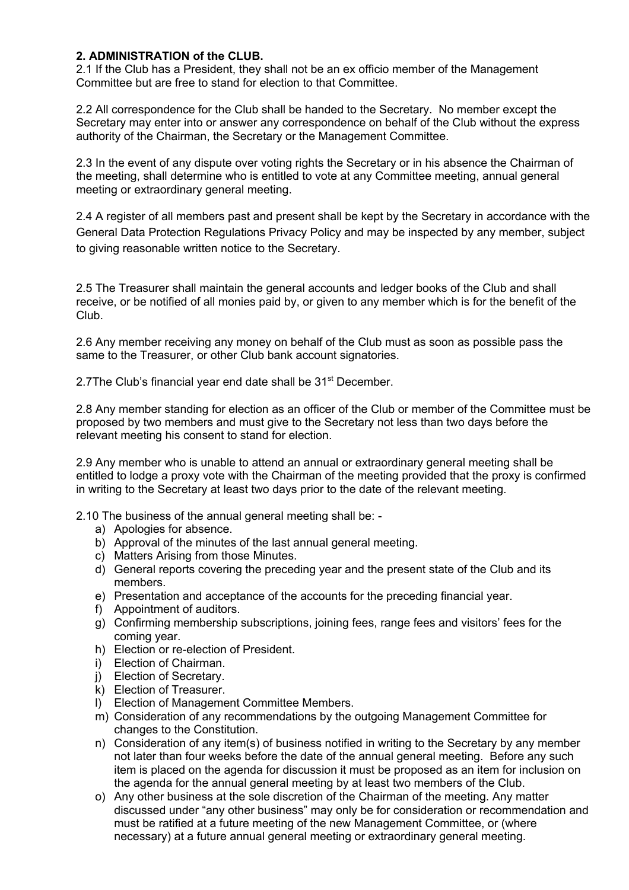# **2. ADMINISTRATION of the CLUB.**

2.1 If the Club has a President, they shall not be an ex officio member of the Management Committee but are free to stand for election to that Committee.

2.2 All correspondence for the Club shall be handed to the Secretary. No member except the Secretary may enter into or answer any correspondence on behalf of the Club without the express authority of the Chairman, the Secretary or the Management Committee.

2.3 In the event of any dispute over voting rights the Secretary or in his absence the Chairman of the meeting, shall determine who is entitled to vote at any Committee meeting, annual general meeting or extraordinary general meeting.

2.4 A register of all members past and present shall be kept by the Secretary in accordance with the General Data Protection Regulations Privacy Policy and may be inspected by any member, subject to giving reasonable written notice to the Secretary.

2.5 The Treasurer shall maintain the general accounts and ledger books of the Club and shall receive, or be notified of all monies paid by, or given to any member which is for the benefit of the Club.

2.6 Any member receiving any money on behalf of the Club must as soon as possible pass the same to the Treasurer, or other Club bank account signatories.

2.7The Club's financial year end date shall be 31<sup>st</sup> December.

2.8 Any member standing for election as an officer of the Club or member of the Committee must be proposed by two members and must give to the Secretary not less than two days before the relevant meeting his consent to stand for election.

2.9 Any member who is unable to attend an annual or extraordinary general meeting shall be entitled to lodge a proxy vote with the Chairman of the meeting provided that the proxy is confirmed in writing to the Secretary at least two days prior to the date of the relevant meeting.

2.10 The business of the annual general meeting shall be: -

- a) Apologies for absence.
- b) Approval of the minutes of the last annual general meeting.
- c) Matters Arising from those Minutes.
- d) General reports covering the preceding year and the present state of the Club and its members.
- e) Presentation and acceptance of the accounts for the preceding financial year.
- f) Appointment of auditors.
- g) Confirming membership subscriptions, joining fees, range fees and visitors' fees for the coming year.
- h) Election or re-election of President.
- i) Election of Chairman.
- j) Election of Secretary.
- k) Election of Treasurer.
- l) Election of Management Committee Members.
- m) Consideration of any recommendations by the outgoing Management Committee for changes to the Constitution.
- n) Consideration of any item(s) of business notified in writing to the Secretary by any member not later than four weeks before the date of the annual general meeting. Before any such item is placed on the agenda for discussion it must be proposed as an item for inclusion on the agenda for the annual general meeting by at least two members of the Club.
- o) Any other business at the sole discretion of the Chairman of the meeting. Any matter discussed under "any other business" may only be for consideration or recommendation and must be ratified at a future meeting of the new Management Committee, or (where necessary) at a future annual general meeting or extraordinary general meeting.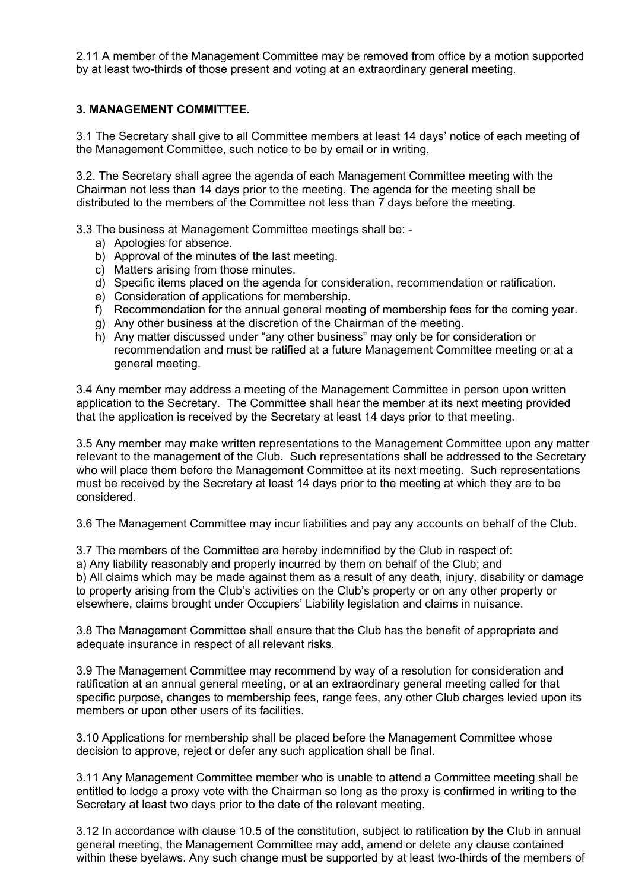2.11 A member of the Management Committee may be removed from office by a motion supported by at least two-thirds of those present and voting at an extraordinary general meeting.

## **3. MANAGEMENT COMMITTEE.**

3.1 The Secretary shall give to all Committee members at least 14 days' notice of each meeting of the Management Committee, such notice to be by email or in writing.

3.2. The Secretary shall agree the agenda of each Management Committee meeting with the Chairman not less than 14 days prior to the meeting. The agenda for the meeting shall be distributed to the members of the Committee not less than 7 days before the meeting.

3.3 The business at Management Committee meetings shall be: -

- a) Apologies for absence.
- b) Approval of the minutes of the last meeting.
- c) Matters arising from those minutes.
- d) Specific items placed on the agenda for consideration, recommendation or ratification.
- e) Consideration of applications for membership.
- f) Recommendation for the annual general meeting of membership fees for the coming year.
- g) Any other business at the discretion of the Chairman of the meeting.
- h) Any matter discussed under "any other business" may only be for consideration or recommendation and must be ratified at a future Management Committee meeting or at a general meeting.

3.4 Any member may address a meeting of the Management Committee in person upon written application to the Secretary. The Committee shall hear the member at its next meeting provided that the application is received by the Secretary at least 14 days prior to that meeting.

3.5 Any member may make written representations to the Management Committee upon any matter relevant to the management of the Club. Such representations shall be addressed to the Secretary who will place them before the Management Committee at its next meeting. Such representations must be received by the Secretary at least 14 days prior to the meeting at which they are to be considered.

3.6 The Management Committee may incur liabilities and pay any accounts on behalf of the Club.

3.7 The members of the Committee are hereby indemnified by the Club in respect of: a) Any liability reasonably and properly incurred by them on behalf of the Club; and b) All claims which may be made against them as a result of any death, injury, disability or damage to property arising from the Club's activities on the Club's property or on any other property or elsewhere, claims brought under Occupiers' Liability legislation and claims in nuisance.

3.8 The Management Committee shall ensure that the Club has the benefit of appropriate and adequate insurance in respect of all relevant risks.

3.9 The Management Committee may recommend by way of a resolution for consideration and ratification at an annual general meeting, or at an extraordinary general meeting called for that specific purpose, changes to membership fees, range fees, any other Club charges levied upon its members or upon other users of its facilities.

3.10 Applications for membership shall be placed before the Management Committee whose decision to approve, reject or defer any such application shall be final.

3.11 Any Management Committee member who is unable to attend a Committee meeting shall be entitled to lodge a proxy vote with the Chairman so long as the proxy is confirmed in writing to the Secretary at least two days prior to the date of the relevant meeting.

3.12 In accordance with clause 10.5 of the constitution, subject to ratification by the Club in annual general meeting, the Management Committee may add, amend or delete any clause contained within these byelaws. Any such change must be supported by at least two-thirds of the members of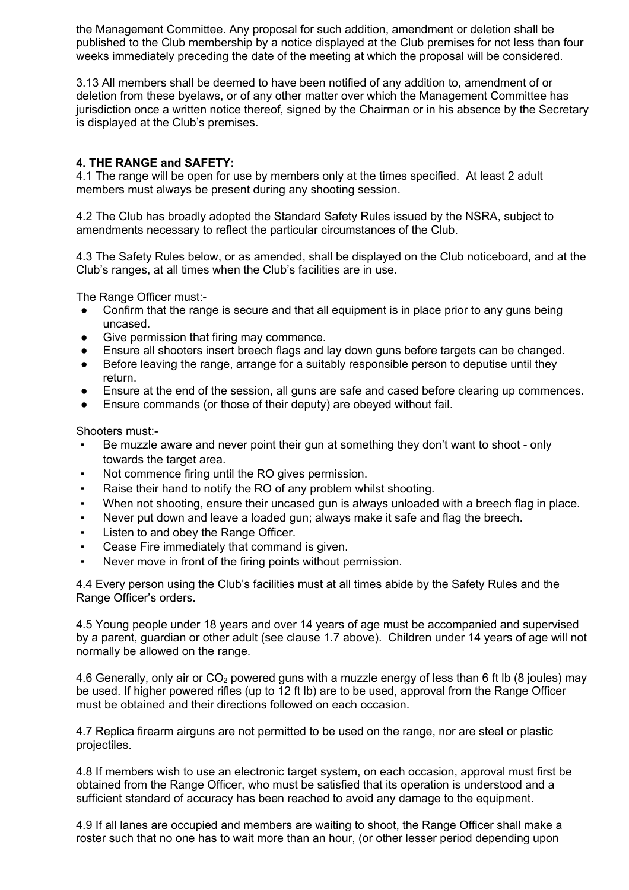the Management Committee. Any proposal for such addition, amendment or deletion shall be published to the Club membership by a notice displayed at the Club premises for not less than four weeks immediately preceding the date of the meeting at which the proposal will be considered.

3.13 All members shall be deemed to have been notified of any addition to, amendment of or deletion from these byelaws, or of any other matter over which the Management Committee has jurisdiction once a written notice thereof, signed by the Chairman or in his absence by the Secretary is displayed at the Club's premises.

# **4. THE RANGE and SAFETY:**

4.1 The range will be open for use by members only at the times specified. At least 2 adult members must always be present during any shooting session.

4.2 The Club has broadly adopted the Standard Safety Rules issued by the NSRA, subject to amendments necessary to reflect the particular circumstances of the Club.

4.3 The Safety Rules below, or as amended, shall be displayed on the Club noticeboard, and at the Club's ranges, at all times when the Club's facilities are in use.

The Range Officer must:-

- Confirm that the range is secure and that all equipment is in place prior to any guns being uncased.
- Give permission that firing may commence.
- Ensure all shooters insert breech flags and lay down guns before targets can be changed.
- Before leaving the range, arrange for a suitably responsible person to deputise until they return.
- Ensure at the end of the session, all guns are safe and cased before clearing up commences.
- Ensure commands (or those of their deputy) are obeyed without fail.

Shooters must:-

- Be muzzle aware and never point their gun at something they don't want to shoot only towards the target area.
- Not commence firing until the RO gives permission.
- Raise their hand to notify the RO of any problem whilst shooting.
- When not shooting, ensure their uncased gun is always unloaded with a breech flag in place.
- Never put down and leave a loaded gun; always make it safe and flag the breech.
- Listen to and obey the Range Officer.
- Cease Fire immediately that command is given.
- Never move in front of the firing points without permission.

4.4 Every person using the Club's facilities must at all times abide by the Safety Rules and the Range Officer's orders.

4.5 Young people under 18 years and over 14 years of age must be accompanied and supervised by a parent, guardian or other adult (see clause 1.7 above). Children under 14 years of age will not normally be allowed on the range.

4.6 Generally, only air or  $CO<sub>2</sub>$  powered guns with a muzzle energy of less than 6 ft lb (8 joules) may be used. If higher powered rifles (up to 12 ft lb) are to be used, approval from the Range Officer must be obtained and their directions followed on each occasion.

4.7 Replica firearm airguns are not permitted to be used on the range, nor are steel or plastic projectiles.

4.8 If members wish to use an electronic target system, on each occasion, approval must first be obtained from the Range Officer, who must be satisfied that its operation is understood and a sufficient standard of accuracy has been reached to avoid any damage to the equipment.

4.9 If all lanes are occupied and members are waiting to shoot, the Range Officer shall make a roster such that no one has to wait more than an hour, (or other lesser period depending upon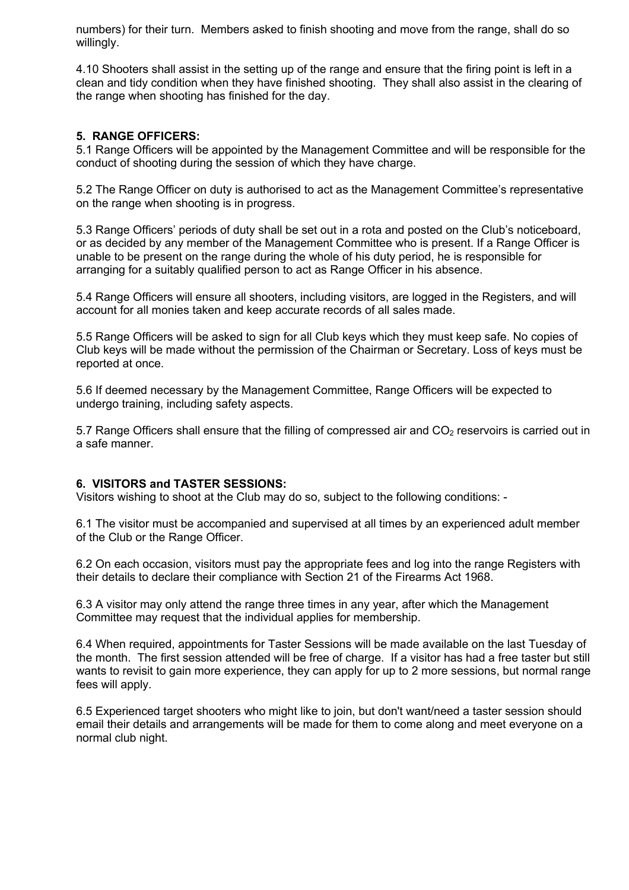numbers) for their turn. Members asked to finish shooting and move from the range, shall do so willingly.

4.10 Shooters shall assist in the setting up of the range and ensure that the firing point is left in a clean and tidy condition when they have finished shooting. They shall also assist in the clearing of the range when shooting has finished for the day.

## **5. RANGE OFFICERS:**

5.1 Range Officers will be appointed by the Management Committee and will be responsible for the conduct of shooting during the session of which they have charge.

5.2 The Range Officer on duty is authorised to act as the Management Committee's representative on the range when shooting is in progress.

5.3 Range Officers' periods of duty shall be set out in a rota and posted on the Club's noticeboard, or as decided by any member of the Management Committee who is present. If a Range Officer is unable to be present on the range during the whole of his duty period, he is responsible for arranging for a suitably qualified person to act as Range Officer in his absence.

5.4 Range Officers will ensure all shooters, including visitors, are logged in the Registers, and will account for all monies taken and keep accurate records of all sales made.

5.5 Range Officers will be asked to sign for all Club keys which they must keep safe. No copies of Club keys will be made without the permission of the Chairman or Secretary. Loss of keys must be reported at once.

5.6 If deemed necessary by the Management Committee, Range Officers will be expected to undergo training, including safety aspects.

5.7 Range Officers shall ensure that the filling of compressed air and CO<sub>2</sub> reservoirs is carried out in a safe manner.

#### **6. VISITORS and TASTER SESSIONS:**

Visitors wishing to shoot at the Club may do so, subject to the following conditions: -

6.1 The visitor must be accompanied and supervised at all times by an experienced adult member of the Club or the Range Officer.

6.2 On each occasion, visitors must pay the appropriate fees and log into the range Registers with their details to declare their compliance with Section 21 of the Firearms Act 1968.

6.3 A visitor may only attend the range three times in any year, after which the Management Committee may request that the individual applies for membership.

6.4 When required, appointments for Taster Sessions will be made available on the last Tuesday of the month. The first session attended will be free of charge. If a visitor has had a free taster but still wants to revisit to gain more experience, they can apply for up to 2 more sessions, but normal range fees will apply.

6.5 Experienced target shooters who might like to join, but don't want/need a taster session should email their details and arrangements will be made for them to come along and meet everyone on a normal club night.